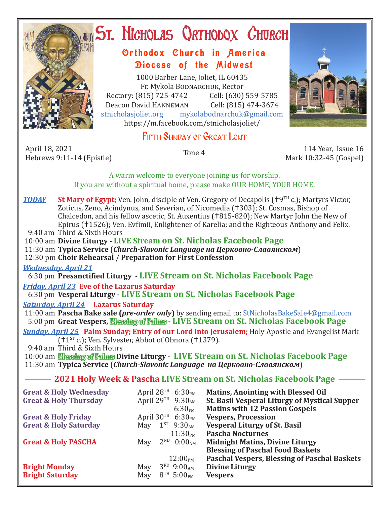

# ST. NICHOLAS QRTHODOX CHURCH

# Orthodox Church in America Diocese of the Midwest

1000 Barber Lane, Joliet, IL 60435 Fr. Mykola Bodnarchuk, Rector<br>315) 725-4742 Cell: (630) 559-5785 Rectory: (815) 725-4742 Cell: (630) 559-5785<br>Deacon David HANNEMAN Cell: (815) 474-3674 Deacon David HANNEMAN<br>stnicholasioliet.org mvk mykolabodnarchuk@gmail.com https://m.facebook.com/stnicholasjoliet/

# FIFTH SUNDAY OF GREAT LENT

April 18, 2021 April 18, 2021 114 Year, Issue 16<br>Hebrews 9:11-14 (Epistle) Tone 4 114 Year, Issue 16

Mark 10:32-45 (Gospel)

A warm welcome to everyone joining us for worship. If you are without a spiritual home, please make OUR HOME, YOUR HOME.

*TODAY* St Mary of Egypt; Ven. John, disciple of Ven. Gregory of Decapolis ( $\uparrow$ 9<sup>TH</sup> c.); Martyrs Victor, Zoticus, Zeno, Acindynus, and Severian, of Nicomedia (†303); St. Cosmas, Bishop of Chalcedon, and his fellow ascetic, St. Auxentius (1815-820); New Martyr John the New of Epirus (†1526); Ven. Evfimii, Enlightener of Karelia; and the Righteous Anthony and Felix. 9:40 am Third & Sixth Hours

10:00 am **Divine Liturgy - LIVE Stream on St. Nicholas Facebook Page**

11:30 am **Typica Service** (*Church-Slavonic Language на Церковно-Славянском*)

12:30 pm **Choir Rehearsal** / **Preparation for First Confession**

*Wednesday, April 21* 

6:30 pm **Presanctified Liturgy - LIVE Stream on St. Nicholas Facebook Page**

*Friday, April 23* **Eve of the Lazarus Saturday**

6:30 pm **Vesperal Liturgy - LIVE Stream on St. Nicholas Facebook Page**

*Saturday, April 24* **Lazarus Saturday**

 11:00 am **Pascha Bake sale (***pre-order only***)** by sending email to: StNicholasBakeSale4@gmail.com 5:00 pm **Great Vespers,** Blessing of Palms **- LIVE Stream on St. Nicholas Facebook Page**

*Sunday, April 25* **Palm Sunday; Entry of our Lord into Jerusalem;** Holy Apostle and Evangelist Mark  $(1^{ST} c.);$  Ven. Sylvester, Abbot of Obnora (1379).

9:40 am Third & Sixth Hours

 10:00 am Blessing of Palms **Divine Liturgy - LIVE Stream on St. Nicholas Facebook Page** 11:30 am **Typica Service** (*Church-Slavonic Language на Церковно-Славянском*)

## **2021 Holy Week & Pascha LIVE Stream on St. Nicholas Facebook Page**

| <b>Great &amp; Holy Wednesday</b> | April $28^{TH}$ 6:30 <sub>PM</sub>                              | <b>Matins, Anointing with Blessed Oil</b>                                                     |
|-----------------------------------|-----------------------------------------------------------------|-----------------------------------------------------------------------------------------------|
| <b>Great &amp; Holy Thursday</b>  | April 29 <sup>TH</sup> 9:30 <sub>AM</sub><br>6:30 <sub>PM</sub> | <b>St. Basil Vesperal Liturgy of Mystical Supper</b><br><b>Matins with 12 Passion Gospels</b> |
| <b>Great &amp; Holy Friday</b>    | April $30^{\text{TH}}$ 6:30 <sub>PM</sub>                       | <b>Vespers, Procession</b>                                                                    |
| <b>Great &amp; Holy Saturday</b>  | $1^{ST}$ 9:30 <sub>AM</sub><br>May                              | <b>Vesperal Liturgy of St. Basil</b>                                                          |
|                                   | 11:30 <sub>PM</sub>                                             | <b>Pascha Nocturnes</b>                                                                       |
| <b>Great &amp; Holy PASCHA</b>    | $2^{ND}$ 0:00 <sub>AM</sub><br>May                              | <b>Midnight Matins, Divine Liturgy</b>                                                        |
|                                   |                                                                 | <b>Blessing of Paschal Food Baskets</b>                                                       |
|                                   | $12:00_{\rm PM}$                                                | Paschal Vespers, Blessing of Paschal Baskets                                                  |
| <b>Bright Monday</b>              | $3^{RD}$ 9:00 <sub>AM</sub><br>May                              | <b>Divine Liturgy</b>                                                                         |
| <b>Bright Saturday</b>            | $8^{TH}$ 5:00 <sub>PM</sub><br>May                              | <b>Vespers</b>                                                                                |